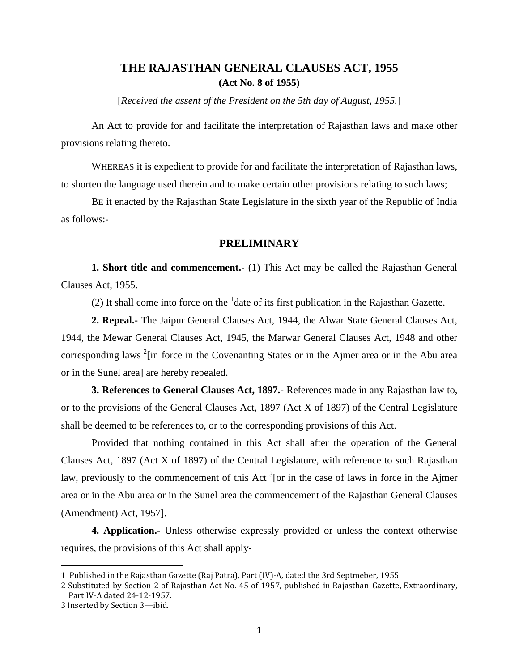# **THE RAJASTHAN GENERAL CLAUSES ACT, 1955 (Act No. 8 of 1955)**

[*Received the assent of the President on the 5th day of August, 1955.*]

An Act to provide for and facilitate the interpretation of Rajasthan laws and make other provisions relating thereto.

WHEREAS it is expedient to provide for and facilitate the interpretation of Rajasthan laws, to shorten the language used therein and to make certain other provisions relating to such laws;

BE it enacted by the Rajasthan State Legislature in the sixth year of the Republic of India as follows:-

### **PRELIMINARY**

**1. Short title and commencement.-** (1) This Act may be called the Rajasthan General Clauses Act, 1955.

(2) It shall come into force on the  $<sup>1</sup>$  date of its first publication in the Rajasthan Gazette.</sup>

**2. Repeal.-** The Jaipur General Clauses Act, 1944, the Alwar State General Clauses Act, 1944, the Mewar General Clauses Act, 1945, the Marwar General Clauses Act, 1948 and other corresponding laws  $2$ [in force in the Covenanting States or in the Ajmer area or in the Abu area or in the Sunel area] are hereby repealed.

**3. References to General Clauses Act, 1897.-** References made in any Rajasthan law to, or to the provisions of the General Clauses Act, 1897 (Act X of 1897) of the Central Legislature shall be deemed to be references to, or to the corresponding provisions of this Act.

Provided that nothing contained in this Act shall after the operation of the General Clauses Act, 1897 (Act X of 1897) of the Central Legislature, with reference to such Rajasthan law, previously to the commencement of this Act  $3$  [or in the case of laws in force in the Ajmer area or in the Abu area or in the Sunel area the commencement of the Rajasthan General Clauses (Amendment) Act, 1957].

**4. Application.-** Unless otherwise expressly provided or unless the context otherwise requires, the provisions of this Act shall apply-

 $\overline{a}$ 

<sup>1</sup> Published in the Rajasthan Gazette (Raj Patra), Part (IV)-A, dated the 3rd Septmeber, 1955.

<sup>2</sup> Substituted by Section 2 of Rajasthan Act No. 45 of 1957, published in Rajasthan Gazette, Extraordinary, Part IV-A dated 24-12-1957.

<sup>3</sup> Inserted by Section 3—ibid.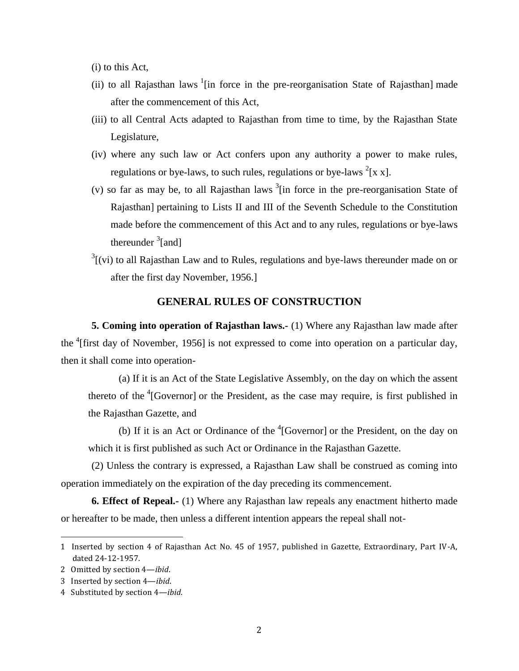(i) to this Act,

- (ii) to all Rajasthan laws  $1$ [in force in the pre-reorganisation State of Rajasthan] made after the commencement of this Act,
- (iii) to all Central Acts adapted to Rajasthan from time to time, by the Rajasthan State Legislature,
- (iv) where any such law or Act confers upon any authority a power to make rules, regulations or bye-laws, to such rules, regulations or bye-laws  $2[x x]$ .
- (v) so far as may be, to all Rajasthan laws  $3$ [in force in the pre-reorganisation State of Rajasthan] pertaining to Lists II and III of the Seventh Schedule to the Constitution made before the commencement of this Act and to any rules, regulations or bye-laws thereunder  $\frac{3}{2}$ [and]
- $3$ [(vi) to all Rajasthan Law and to Rules, regulations and bye-laws thereunder made on or after the first day November, 1956.]

### **GENERAL RULES OF CONSTRUCTION**

**5. Coming into operation of Rajasthan laws.-** (1) Where any Rajasthan law made after the <sup>4</sup>[first day of November, 1956] is not expressed to come into operation on a particular day, then it shall come into operation-

(a) If it is an Act of the State Legislative Assembly, on the day on which the assent thereto of the  ${}^{4}$ [Governor] or the President, as the case may require, is first published in the Rajasthan Gazette, and

(b) If it is an Act or Ordinance of the  ${}^{4}$ [Governor] or the President, on the day on which it is first published as such Act or Ordinance in the Rajasthan Gazette.

(2) Unless the contrary is expressed, a Rajasthan Law shall be construed as coming into operation immediately on the expiration of the day preceding its commencement.

**6. Effect of Repeal.-** (1) Where any Rajasthan law repeals any enactment hitherto made or hereafter to be made, then unless a different intention appears the repeal shall not-

<sup>1</sup> Inserted by section 4 of Rajasthan Act No. 45 of 1957, published in Gazette, Extraordinary, Part IV-A, dated 24-12-1957.

<sup>2</sup> Omitted by section 4—*ibid*.

<sup>3</sup> Inserted by section 4—*ibid*.

<sup>4</sup> Substituted by section 4—*ibid*.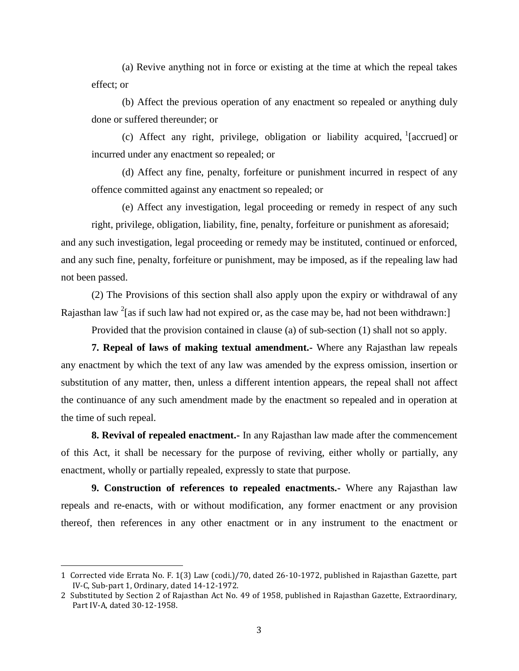(a) Revive anything not in force or existing at the time at which the repeal takes effect; or

(b) Affect the previous operation of any enactment so repealed or anything duly done or suffered thereunder; or

(c) Affect any right, privilege, obligation or liability acquired,  $^1$ [accrued] or incurred under any enactment so repealed; or

(d) Affect any fine, penalty, forfeiture or punishment incurred in respect of any offence committed against any enactment so repealed; or

(e) Affect any investigation, legal proceeding or remedy in respect of any such

right, privilege, obligation, liability, fine, penalty, forfeiture or punishment as aforesaid; and any such investigation, legal proceeding or remedy may be instituted, continued or enforced, and any such fine, penalty, forfeiture or punishment, may be imposed, as if the repealing law had not been passed.

(2) The Provisions of this section shall also apply upon the expiry or withdrawal of any Rajasthan law  $2$ [as if such law had not expired or, as the case may be, had not been withdrawn:]

Provided that the provision contained in clause (a) of sub-section (1) shall not so apply.

**7. Repeal of laws of making textual amendment.-** Where any Rajasthan law repeals any enactment by which the text of any law was amended by the express omission, insertion or substitution of any matter, then, unless a different intention appears, the repeal shall not affect the continuance of any such amendment made by the enactment so repealed and in operation at the time of such repeal.

**8. Revival of repealed enactment.-** In any Rajasthan law made after the commencement of this Act, it shall be necessary for the purpose of reviving, either wholly or partially, any enactment, wholly or partially repealed, expressly to state that purpose.

**9. Construction of references to repealed enactments.-** Where any Rajasthan law repeals and re-enacts, with or without modification, any former enactment or any provision thereof, then references in any other enactment or in any instrument to the enactment or

 $\overline{a}$ 

<sup>1</sup> Corrected vide Errata No. F. 1(3) Law (codi.)/70, dated 26-10-1972, published in Rajasthan Gazette, part IV-C, Sub-part 1, Ordinary, dated 14-12-1972.

<sup>2</sup> Substituted by Section 2 of Rajasthan Act No. 49 of 1958, published in Rajasthan Gazette, Extraordinary, Part IV-A, dated 30-12-1958.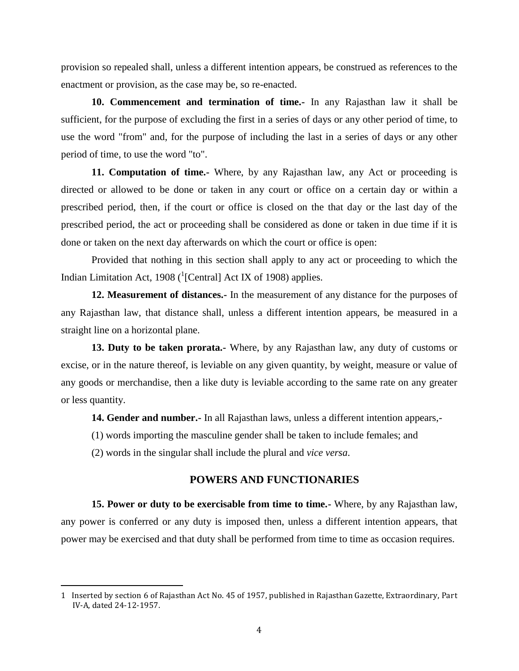provision so repealed shall, unless a different intention appears, be construed as references to the enactment or provision, as the case may be, so re-enacted.

**10. Commencement and termination of time.-** In any Rajasthan law it shall be sufficient, for the purpose of excluding the first in a series of days or any other period of time, to use the word "from" and, for the purpose of including the last in a series of days or any other period of time, to use the word "to".

**11. Computation of time.-** Where, by any Rajasthan law, any Act or proceeding is directed or allowed to be done or taken in any court or office on a certain day or within a prescribed period, then, if the court or office is closed on the that day or the last day of the prescribed period, the act or proceeding shall be considered as done or taken in due time if it is done or taken on the next day afterwards on which the court or office is open:

Provided that nothing in this section shall apply to any act or proceeding to which the Indian Limitation Act, 1908 ( $^{1}$ [Central] Act IX of 1908) applies.

**12. Measurement of distances.-** In the measurement of any distance for the purposes of any Rajasthan law, that distance shall, unless a different intention appears, be measured in a straight line on a horizontal plane.

**13. Duty to be taken prorata.-** Where, by any Rajasthan law, any duty of customs or excise, or in the nature thereof, is leviable on any given quantity, by weight, measure or value of any goods or merchandise, then a like duty is leviable according to the same rate on any greater or less quantity.

**14. Gender and number.-** In all Rajasthan laws, unless a different intention appears,-

(1) words importing the masculine gender shall be taken to include females; and

(2) words in the singular shall include the plural and *vice versa*.

 $\overline{\phantom{a}}$ 

#### **POWERS AND FUNCTIONARIES**

**15. Power or duty to be exercisable from time to time.-** Where, by any Rajasthan law, any power is conferred or any duty is imposed then, unless a different intention appears, that power may be exercised and that duty shall be performed from time to time as occasion requires.

<sup>1</sup> Inserted by section 6 of Rajasthan Act No. 45 of 1957, published in Rajasthan Gazette, Extraordinary, Part IV-A, dated 24-12-1957.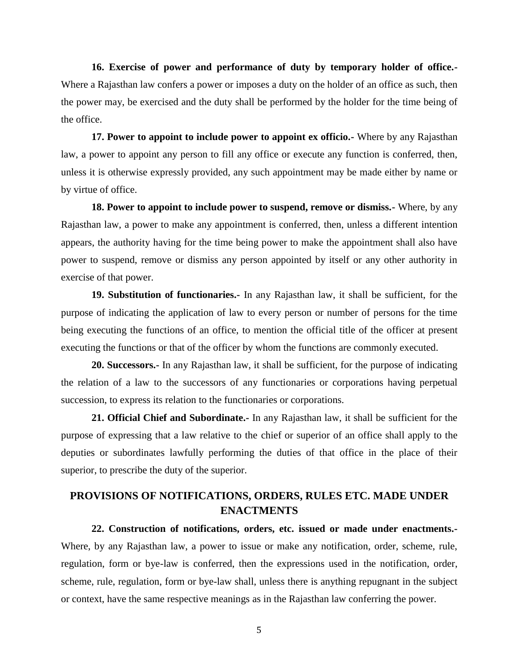**16. Exercise of power and performance of duty by temporary holder of office.-** Where a Rajasthan law confers a power or imposes a duty on the holder of an office as such, then the power may, be exercised and the duty shall be performed by the holder for the time being of the office.

**17. Power to appoint to include power to appoint ex officio.-** Where by any Rajasthan law, a power to appoint any person to fill any office or execute any function is conferred, then, unless it is otherwise expressly provided, any such appointment may be made either by name or by virtue of office.

**18. Power to appoint to include power to suspend, remove or dismiss.-** Where, by any Rajasthan law, a power to make any appointment is conferred, then, unless a different intention appears, the authority having for the time being power to make the appointment shall also have power to suspend, remove or dismiss any person appointed by itself or any other authority in exercise of that power.

**19. Substitution of functionaries.-** In any Rajasthan law, it shall be sufficient, for the purpose of indicating the application of law to every person or number of persons for the time being executing the functions of an office, to mention the official title of the officer at present executing the functions or that of the officer by whom the functions are commonly executed.

**20. Successors.-** In any Rajasthan law, it shall be sufficient, for the purpose of indicating the relation of a law to the successors of any functionaries or corporations having perpetual succession, to express its relation to the functionaries or corporations.

**21. Official Chief and Subordinate.-** In any Rajasthan law, it shall be sufficient for the purpose of expressing that a law relative to the chief or superior of an office shall apply to the deputies or subordinates lawfully performing the duties of that office in the place of their superior, to prescribe the duty of the superior.

# **PROVISIONS OF NOTIFICATIONS, ORDERS, RULES ETC. MADE UNDER ENACTMENTS**

**22. Construction of notifications, orders, etc. issued or made under enactments.-** Where, by any Rajasthan law, a power to issue or make any notification, order, scheme, rule, regulation, form or bye-law is conferred, then the expressions used in the notification, order, scheme, rule, regulation, form or bye-law shall, unless there is anything repugnant in the subject or context, have the same respective meanings as in the Rajasthan law conferring the power.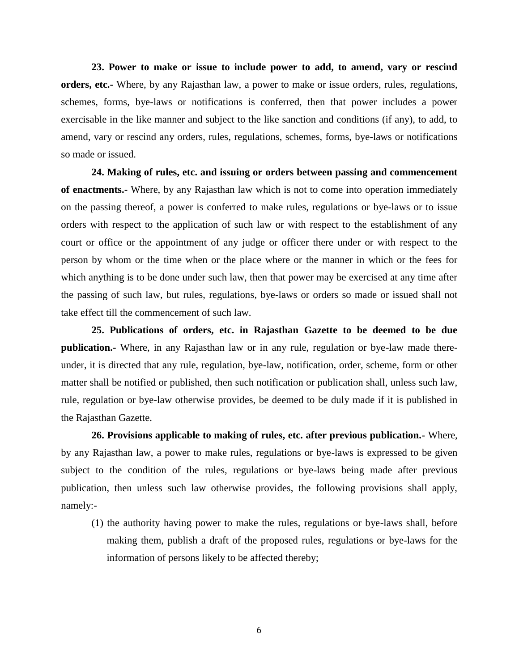**23. Power to make or issue to include power to add, to amend, vary or rescind orders, etc.-** Where, by any Rajasthan law, a power to make or issue orders, rules, regulations, schemes, forms, bye-laws or notifications is conferred, then that power includes a power exercisable in the like manner and subject to the like sanction and conditions (if any), to add, to amend, vary or rescind any orders, rules, regulations, schemes, forms, bye-laws or notifications so made or issued.

**24. Making of rules, etc. and issuing or orders between passing and commencement of enactments.-** Where, by any Rajasthan law which is not to come into operation immediately on the passing thereof, a power is conferred to make rules, regulations or bye-laws or to issue orders with respect to the application of such law or with respect to the establishment of any court or office or the appointment of any judge or officer there under or with respect to the person by whom or the time when or the place where or the manner in which or the fees for which anything is to be done under such law, then that power may be exercised at any time after the passing of such law, but rules, regulations, bye-laws or orders so made or issued shall not take effect till the commencement of such law.

**25. Publications of orders, etc. in Rajasthan Gazette to be deemed to be due publication.-** Where, in any Rajasthan law or in any rule, regulation or bye-law made thereunder, it is directed that any rule, regulation, bye-law, notification, order, scheme, form or other matter shall be notified or published, then such notification or publication shall, unless such law, rule, regulation or bye-law otherwise provides, be deemed to be duly made if it is published in the Rajasthan Gazette.

**26. Provisions applicable to making of rules, etc. after previous publication.-** Where, by any Rajasthan law, a power to make rules, regulations or bye-laws is expressed to be given subject to the condition of the rules, regulations or bye-laws being made after previous publication, then unless such law otherwise provides, the following provisions shall apply, namely:-

(1) the authority having power to make the rules, regulations or bye-laws shall, before making them, publish a draft of the proposed rules, regulations or bye-laws for the information of persons likely to be affected thereby;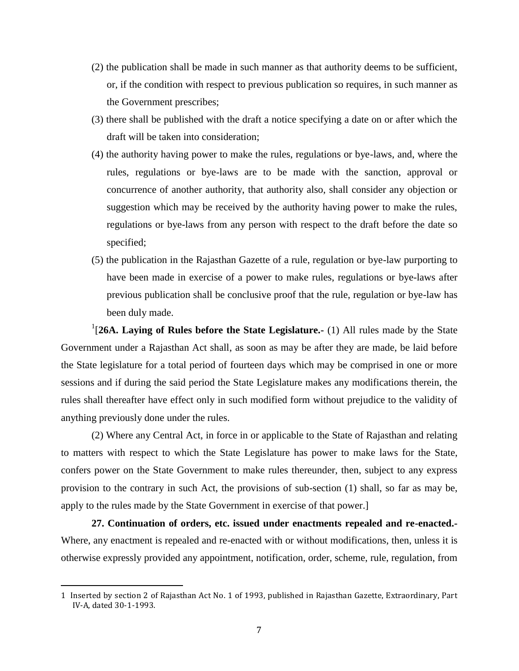- (2) the publication shall be made in such manner as that authority deems to be sufficient, or, if the condition with respect to previous publication so requires, in such manner as the Government prescribes;
- (3) there shall be published with the draft a notice specifying a date on or after which the draft will be taken into consideration;
- (4) the authority having power to make the rules, regulations or bye-laws, and, where the rules, regulations or bye-laws are to be made with the sanction, approval or concurrence of another authority, that authority also, shall consider any objection or suggestion which may be received by the authority having power to make the rules, regulations or bye-laws from any person with respect to the draft before the date so specified;
- (5) the publication in the Rajasthan Gazette of a rule, regulation or bye-law purporting to have been made in exercise of a power to make rules, regulations or bye-laws after previous publication shall be conclusive proof that the rule, regulation or bye-law has been duly made.

<sup>1</sup>[26A. Laying of Rules before the State Legislature.- (1) All rules made by the State Government under a Rajasthan Act shall, as soon as may be after they are made, be laid before the State legislature for a total period of fourteen days which may be comprised in one or more sessions and if during the said period the State Legislature makes any modifications therein, the rules shall thereafter have effect only in such modified form without prejudice to the validity of anything previously done under the rules.

(2) Where any Central Act, in force in or applicable to the State of Rajasthan and relating to matters with respect to which the State Legislature has power to make laws for the State, confers power on the State Government to make rules thereunder, then, subject to any express provision to the contrary in such Act, the provisions of sub-section (1) shall, so far as may be, apply to the rules made by the State Government in exercise of that power.]

**27. Continuation of orders, etc. issued under enactments repealed and re-enacted.-** Where, any enactment is repealed and re-enacted with or without modifications, then, unless it is otherwise expressly provided any appointment, notification, order, scheme, rule, regulation, from

<sup>1</sup> Inserted by section 2 of Rajasthan Act No. 1 of 1993, published in Rajasthan Gazette, Extraordinary, Part IV-A, dated 30-1-1993.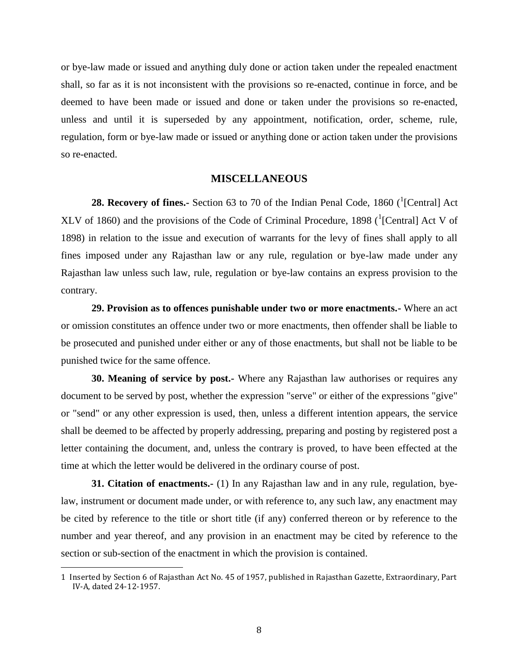or bye-law made or issued and anything duly done or action taken under the repealed enactment shall, so far as it is not inconsistent with the provisions so re-enacted, continue in force, and be deemed to have been made or issued and done or taken under the provisions so re-enacted, unless and until it is superseded by any appointment, notification, order, scheme, rule, regulation, form or bye-law made or issued or anything done or action taken under the provisions so re-enacted.

#### **MISCELLANEOUS**

**28. Recovery of fines.-** Section 63 to 70 of the Indian Penal Code, 1860 (<sup>1</sup>[Central] Act XLV of 1860) and the provisions of the Code of Criminal Procedure, 1898 ( $^1$ [Central] Act V of 1898) in relation to the issue and execution of warrants for the levy of fines shall apply to all fines imposed under any Rajasthan law or any rule, regulation or bye-law made under any Rajasthan law unless such law, rule, regulation or bye-law contains an express provision to the contrary.

**29. Provision as to offences punishable under two or more enactments.-** Where an act or omission constitutes an offence under two or more enactments, then offender shall be liable to be prosecuted and punished under either or any of those enactments, but shall not be liable to be punished twice for the same offence.

**30. Meaning of service by post.-** Where any Rajasthan law authorises or requires any document to be served by post, whether the expression "serve" or either of the expressions "give" or "send" or any other expression is used, then, unless a different intention appears, the service shall be deemed to be affected by properly addressing, preparing and posting by registered post a letter containing the document, and, unless the contrary is proved, to have been effected at the time at which the letter would be delivered in the ordinary course of post.

**31. Citation of enactments.-** (1) In any Rajasthan law and in any rule, regulation, byelaw, instrument or document made under, or with reference to, any such law, any enactment may be cited by reference to the title or short title (if any) conferred thereon or by reference to the number and year thereof, and any provision in an enactment may be cited by reference to the section or sub-section of the enactment in which the provision is contained.

<sup>1</sup> Inserted by Section 6 of Rajasthan Act No. 45 of 1957, published in Rajasthan Gazette, Extraordinary, Part IV-A, dated 24-12-1957.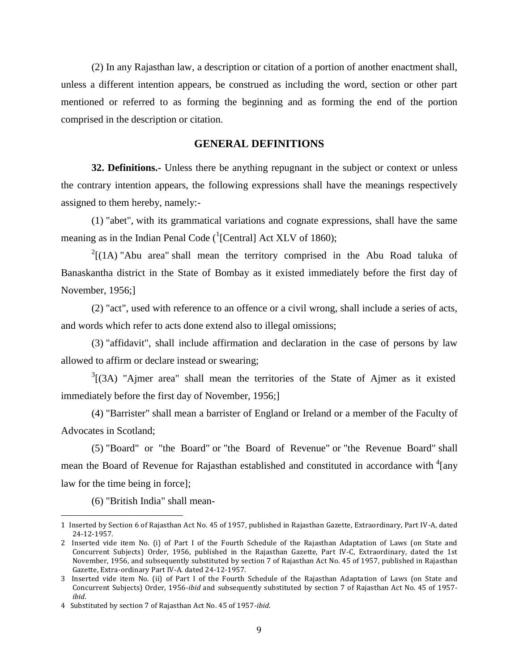(2) In any Rajasthan law, a description or citation of a portion of another enactment shall, unless a different intention appears, be construed as including the word, section or other part mentioned or referred to as forming the beginning and as forming the end of the portion comprised in the description or citation.

#### **GENERAL DEFINITIONS**

**32. Definitions.-** Unless there be anything repugnant in the subject or context or unless the contrary intention appears, the following expressions shall have the meanings respectively assigned to them hereby, namely:-

(1) "abet", with its grammatical variations and cognate expressions, shall have the same meaning as in the Indian Penal Code  $({}^{1}$ [Central] Act XLV of 1860);

 $2[(1A)$  "Abu area" shall mean the territory comprised in the Abu Road taluka of Banaskantha district in the State of Bombay as it existed immediately before the first day of November, 1956;]

(2) "act", used with reference to an offence or a civil wrong, shall include a series of acts, and words which refer to acts done extend also to illegal omissions;

(3) "affidavit", shall include affirmation and declaration in the case of persons by law allowed to affirm or declare instead or swearing;

 $3$ [(3A) "Ajmer area" shall mean the territories of the State of Ajmer as it existed immediately before the first day of November, 1956;]

(4) "Barrister" shall mean a barrister of England or Ireland or a member of the Faculty of Advocates in Scotland;

(5) "Board" or "the Board" or "the Board of Revenue" or "the Revenue Board" shall mean the Board of Revenue for Rajasthan established and constituted in accordance with  ${}^{4}$ [any law for the time being in force];

(6) "British India" shall mean-

<sup>1</sup> Inserted by Section 6 of Rajasthan Act No. 45 of 1957, published in Rajasthan Gazette, Extraordinary, Part IV-A, dated 24-12-1957.

<sup>2</sup> Inserted vide item No. (i) of Part I of the Fourth Schedule of the Rajasthan Adaptation of Laws (on State and Concurrent Subjects) Order, 1956, published in the Rajasthan Gazette, Part IV-C, Extraordinary, dated the 1st November, 1956, and subsequently substituted by section 7 of Rajasthan Act No. 45 of 1957, published in Rajasthan Gazette, Extra-ordinary Part IV-A. dated 24-12-1957.

<sup>3</sup> Inserted vide item No. (ii) of Part I of the Fourth Schedule of the Rajasthan Adaptation of Laws (on State and Concurrent Subjects) Order, 1956-*ibid* and subsequently substituted by section 7 of Rajasthan Act No. 45 of 1957 *ibid*.

<sup>4</sup> Substituted by section 7 of Rajasthan Act No. 45 of 1957-*ibid*.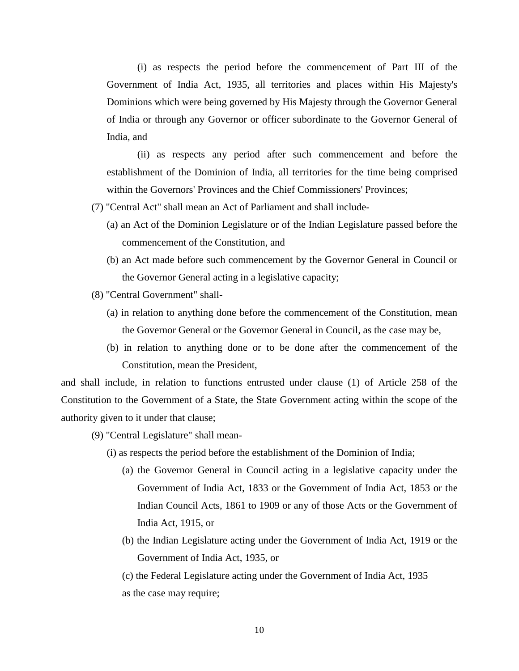(i) as respects the period before the commencement of Part III of the Government of India Act, 1935, all territories and places within His Majesty's Dominions which were being governed by His Majesty through the Governor General of India or through any Governor or officer subordinate to the Governor General of India, and

(ii) as respects any period after such commencement and before the establishment of the Dominion of India, all territories for the time being comprised within the Governors' Provinces and the Chief Commissioners' Provinces;

(7) "Central Act" shall mean an Act of Parliament and shall include-

- (a) an Act of the Dominion Legislature or of the Indian Legislature passed before the commencement of the Constitution, and
- (b) an Act made before such commencement by the Governor General in Council or the Governor General acting in a legislative capacity;
- (8) "Central Government" shall-
	- (a) in relation to anything done before the commencement of the Constitution, mean the Governor General or the Governor General in Council, as the case may be,
	- (b) in relation to anything done or to be done after the commencement of the Constitution, mean the President,

and shall include, in relation to functions entrusted under clause (1) of Article 258 of the Constitution to the Government of a State, the State Government acting within the scope of the authority given to it under that clause;

(9) "Central Legislature" shall mean-

- (i) as respects the period before the establishment of the Dominion of India;
	- (a) the Governor General in Council acting in a legislative capacity under the Government of India Act, 1833 or the Government of India Act, 1853 or the Indian Council Acts, 1861 to 1909 or any of those Acts or the Government of India Act, 1915, or
	- (b) the Indian Legislature acting under the Government of India Act, 1919 or the Government of India Act, 1935, or

(c) the Federal Legislature acting under the Government of India Act, 1935 as the case may require;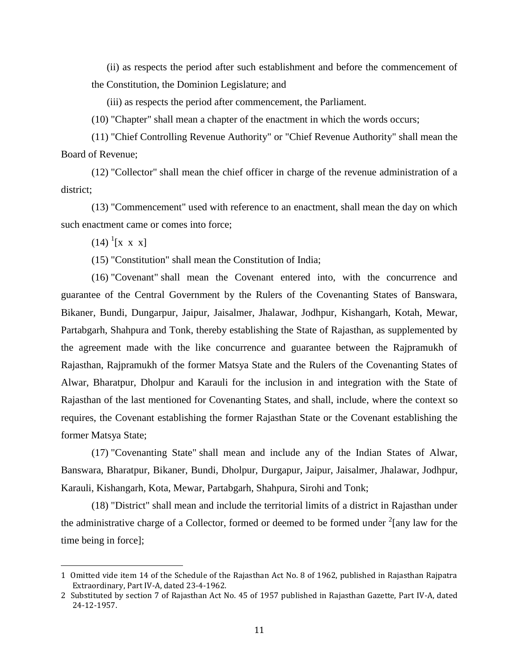(ii) as respects the period after such establishment and before the commencement of the Constitution, the Dominion Legislature; and

(iii) as respects the period after commencement, the Parliament.

(10) "Chapter" shall mean a chapter of the enactment in which the words occurs;

(11) "Chief Controlling Revenue Authority" or "Chief Revenue Authority" shall mean the Board of Revenue;

(12) "Collector" shall mean the chief officer in charge of the revenue administration of a district;

(13) "Commencement" used with reference to an enactment, shall mean the day on which such enactment came or comes into force;

 $(14)$ <sup>1</sup>[x x x]

 $\overline{a}$ 

(15) "Constitution" shall mean the Constitution of India;

(16) "Covenant" shall mean the Covenant entered into, with the concurrence and guarantee of the Central Government by the Rulers of the Covenanting States of Banswara, Bikaner, Bundi, Dungarpur, Jaipur, Jaisalmer, Jhalawar, Jodhpur, Kishangarh, Kotah, Mewar, Partabgarh, Shahpura and Tonk, thereby establishing the State of Rajasthan, as supplemented by the agreement made with the like concurrence and guarantee between the Rajpramukh of Rajasthan, Rajpramukh of the former Matsya State and the Rulers of the Covenanting States of Alwar, Bharatpur, Dholpur and Karauli for the inclusion in and integration with the State of Rajasthan of the last mentioned for Covenanting States, and shall, include, where the context so requires, the Covenant establishing the former Rajasthan State or the Covenant establishing the former Matsya State;

(17) "Covenanting State" shall mean and include any of the Indian States of Alwar, Banswara, Bharatpur, Bikaner, Bundi, Dholpur, Durgapur, Jaipur, Jaisalmer, Jhalawar, Jodhpur, Karauli, Kishangarh, Kota, Mewar, Partabgarh, Shahpura, Sirohi and Tonk;

(18) "District" shall mean and include the territorial limits of a district in Rajasthan under the administrative charge of a Collector, formed or deemed to be formed under  $2$ [any law for the time being in force];

<sup>1</sup> Omitted vide item 14 of the Schedule of the Rajasthan Act No. 8 of 1962, published in Rajasthan Rajpatra Extraordinary, Part IV-A, dated 23-4-1962.

<sup>2</sup> Substituted by section 7 of Rajasthan Act No. 45 of 1957 published in Rajasthan Gazette, Part IV-A, dated 24-12-1957.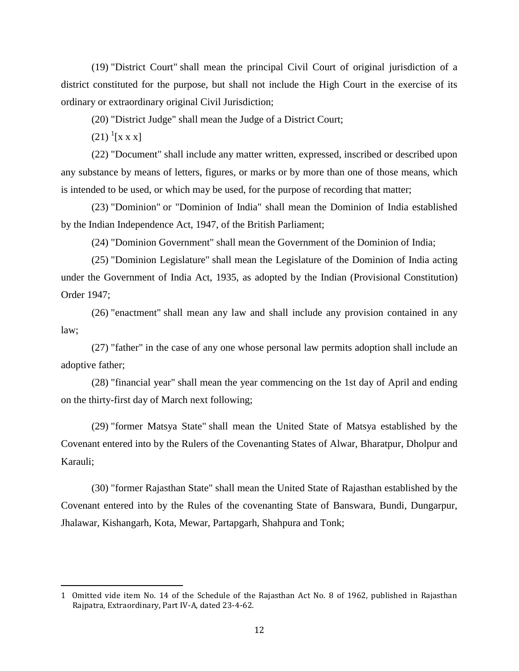(19) "District Court" shall mean the principal Civil Court of original jurisdiction of a district constituted for the purpose, but shall not include the High Court in the exercise of its ordinary or extraordinary original Civil Jurisdiction;

(20) "District Judge" shall mean the Judge of a District Court;

 $(21)$ <sup>1</sup>[x x x]

 $\overline{\phantom{a}}$ 

(22) "Document" shall include any matter written, expressed, inscribed or described upon any substance by means of letters, figures, or marks or by more than one of those means, which is intended to be used, or which may be used, for the purpose of recording that matter;

(23) "Dominion" or "Dominion of India" shall mean the Dominion of India established by the Indian Independence Act, 1947, of the British Parliament;

(24) "Dominion Government" shall mean the Government of the Dominion of India;

(25) "Dominion Legislature" shall mean the Legislature of the Dominion of India acting under the Government of India Act, 1935, as adopted by the Indian (Provisional Constitution) Order 1947;

(26) "enactment" shall mean any law and shall include any provision contained in any law;

(27) "father" in the case of any one whose personal law permits adoption shall include an adoptive father;

(28) "financial year" shall mean the year commencing on the 1st day of April and ending on the thirty-first day of March next following;

(29) "former Matsya State" shall mean the United State of Matsya established by the Covenant entered into by the Rulers of the Covenanting States of Alwar, Bharatpur, Dholpur and Karauli;

(30) "former Rajasthan State" shall mean the United State of Rajasthan established by the Covenant entered into by the Rules of the covenanting State of Banswara, Bundi, Dungarpur, Jhalawar, Kishangarh, Kota, Mewar, Partapgarh, Shahpura and Tonk;

<sup>1</sup> Omitted vide item No. 14 of the Schedule of the Rajasthan Act No. 8 of 1962, published in Rajasthan Rajpatra, Extraordinary, Part IV-A, dated 23-4-62.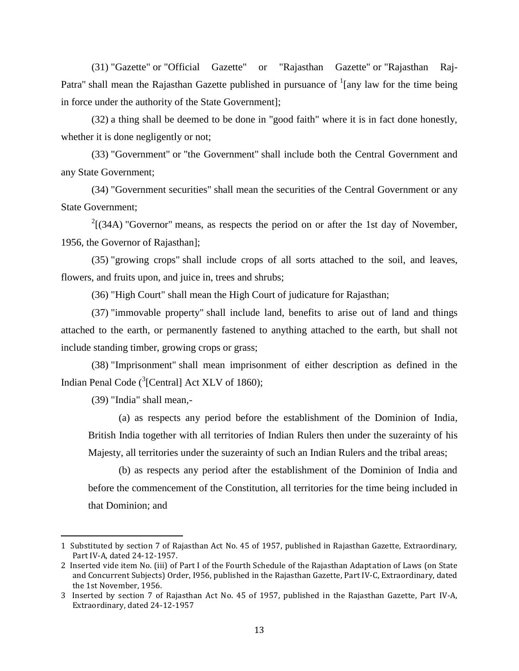(31) "Gazette" or "Official Gazette" or "Rajasthan Gazette" or "Rajasthan Raj-Patra" shall mean the Rajasthan Gazette published in pursuance of  $\frac{1}{2}$  [any law for the time being in force under the authority of the State Government];

(32) a thing shall be deemed to be done in "good faith" where it is in fact done honestly, whether it is done negligently or not;

(33) "Government" or "the Government" shall include both the Central Government and any State Government;

(34) "Government securities" shall mean the securities of the Central Government or any State Government;

 $2[(34A)$  "Governor" means, as respects the period on or after the 1st day of November, 1956, the Governor of Rajasthan];

(35) "growing crops" shall include crops of all sorts attached to the soil, and leaves, flowers, and fruits upon, and juice in, trees and shrubs;

(36) "High Court" shall mean the High Court of judicature for Rajasthan;

(37) "immovable property" shall include land, benefits to arise out of land and things attached to the earth, or permanently fastened to anything attached to the earth, but shall not include standing timber, growing crops or grass;

(38) "Imprisonment" shall mean imprisonment of either description as defined in the Indian Penal Code (<sup>3</sup>[Central] Act XLV of 1860);

(39) "India" shall mean,-

l

(a) as respects any period before the establishment of the Dominion of India, British India together with all territories of Indian Rulers then under the suzerainty of his Majesty, all territories under the suzerainty of such an Indian Rulers and the tribal areas;

(b) as respects any period after the establishment of the Dominion of India and before the commencement of the Constitution, all territories for the time being included in that Dominion; and

<sup>1</sup> Substituted by section 7 of Rajasthan Act No. 45 of 1957, published in Rajasthan Gazette, Extraordinary, Part IV-A, dated 24-12-1957.

<sup>2</sup> Inserted vide item No. (iii) of Part I of the Fourth Schedule of the Rajasthan Adaptation of Laws (on State and Concurrent Subjects) Order, I956, published in the Rajasthan Gazette, Part IV-C, Extraordinary, dated the 1st November, 1956.

<sup>3</sup> Inserted by section 7 of Rajasthan Act No. 45 of 1957, published in the Rajasthan Gazette, Part IV-A, Extraordinary, dated 24-12-1957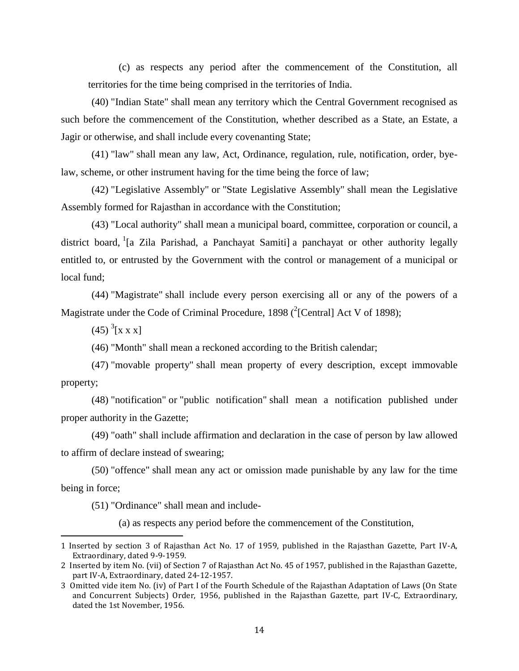(c) as respects any period after the commencement of the Constitution, all territories for the time being comprised in the territories of India.

(40) "Indian State" shall mean any territory which the Central Government recognised as such before the commencement of the Constitution, whether described as a State, an Estate, a Jagir or otherwise, and shall include every covenanting State;

(41) "law" shall mean any law, Act, Ordinance, regulation, rule, notification, order, byelaw, scheme, or other instrument having for the time being the force of law;

(42) "Legislative Assembly" or "State Legislative Assembly" shall mean the Legislative Assembly formed for Rajasthan in accordance with the Constitution;

(43) "Local authority" shall mean a municipal board, committee, corporation or council, a district board, <sup>1</sup>[a Zila Parishad, a Panchayat Samiti] a panchayat or other authority legally entitled to, or entrusted by the Government with the control or management of a municipal or local fund;

(44) "Magistrate" shall include every person exercising all or any of the powers of a Magistrate under the Code of Criminal Procedure, 1898 ( $^{2}$ [Central] Act V of 1898);

 $(45)$ <sup>3</sup>[x x x]

l

(46) "Month" shall mean a reckoned according to the British calendar;

(47) "movable property" shall mean property of every description, except immovable property;

(48) "notification" or "public notification" shall mean a notification published under proper authority in the Gazette;

(49) "oath" shall include affirmation and declaration in the case of person by law allowed to affirm of declare instead of swearing;

(50) "offence" shall mean any act or omission made punishable by any law for the time being in force;

(51) "Ordinance" shall mean and include-

(a) as respects any period before the commencement of the Constitution,

<sup>1</sup> Inserted by section 3 of Rajasthan Act No. 17 of 1959, published in the Rajasthan Gazette, Part IV-A, Extraordinary, dated 9-9-1959.

<sup>2</sup> Inserted by item No. (vii) of Section 7 of Rajasthan Act No. 45 of 1957, published in the Rajasthan Gazette, part IV-A, Extraordinary, dated 24-12-1957.

<sup>3</sup> Omitted vide item No. (iv) of Part I of the Fourth Schedule of the Rajasthan Adaptation of Laws (On State and Concurrent Subjects) Order, 1956, published in the Rajasthan Gazette, part IV-C, Extraordinary, dated the 1st November, 1956.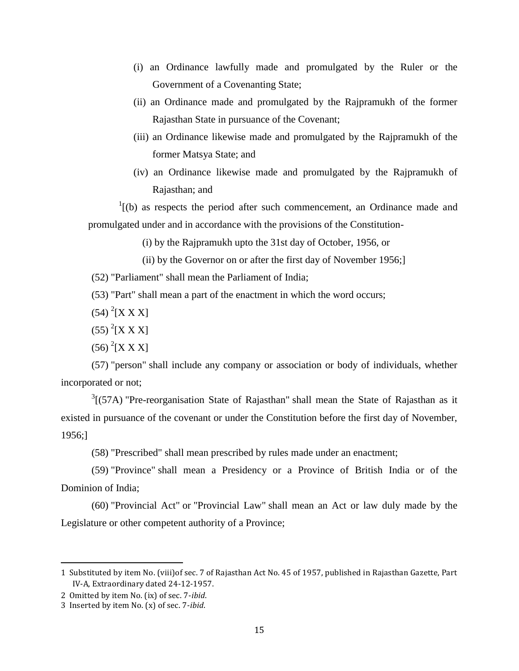- (i) an Ordinance lawfully made and promulgated by the Ruler or the Government of a Covenanting State;
- (ii) an Ordinance made and promulgated by the Rajpramukh of the former Rajasthan State in pursuance of the Covenant;
- (iii) an Ordinance likewise made and promulgated by the Rajpramukh of the former Matsya State; and
- (iv) an Ordinance likewise made and promulgated by the Rajpramukh of Rajasthan; and

 $1($ (b) as respects the period after such commencement, an Ordinance made and promulgated under and in accordance with the provisions of the Constitution-

(i) by the Rajpramukh upto the 31st day of October, 1956, or

(ii) by the Governor on or after the first day of November 1956;]

(52) "Parliament" shall mean the Parliament of India;

(53) "Part" shall mean a part of the enactment in which the word occurs;

- $(54)$ <sup>2</sup>[X X X]
- $(55)$  <sup>2</sup>[X X X]
- $(56)$ <sup>2</sup>[X X X]

(57) "person" shall include any company or association or body of individuals, whether incorporated or not;

 $3$ [(57A) "Pre-reorganisation State of Rajasthan" shall mean the State of Rajasthan as it existed in pursuance of the covenant or under the Constitution before the first day of November, 1956;]

(58) "Prescribed" shall mean prescribed by rules made under an enactment;

(59) "Province" shall mean a Presidency or a Province of British India or of the Dominion of India;

(60) "Provincial Act" or "Provincial Law" shall mean an Act or law duly made by the Legislature or other competent authority of a Province;

<sup>1</sup> Substituted by item No. (viii)of sec. 7 of Rajasthan Act No. 45 of 1957, published in Rajasthan Gazette, Part IV-A, Extraordinary dated 24-12-1957.

<sup>2</sup> Omitted by item No. (ix) of sec. 7-*ibid*.

<sup>3</sup> Inserted by item No. (x) of sec. 7-*ibid*.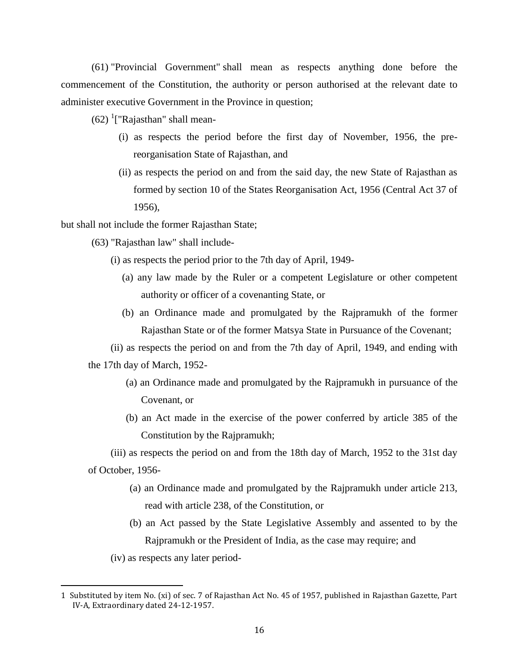(61) "Provincial Government" shall mean as respects anything done before the commencement of the Constitution, the authority or person authorised at the relevant date to administer executive Government in the Province in question;

 $(62)$ <sup>1</sup>["Rajasthan" shall mean-

- (i) as respects the period before the first day of November, 1956, the prereorganisation State of Rajasthan, and
- (ii) as respects the period on and from the said day, the new State of Rajasthan as formed by section 10 of the States Reorganisation Act, 1956 (Central Act 37 of 1956),

but shall not include the former Rajasthan State;

(63) "Rajasthan law" shall include-

- (i) as respects the period prior to the 7th day of April, 1949-
	- (a) any law made by the Ruler or a competent Legislature or other competent authority or officer of a covenanting State, or
	- (b) an Ordinance made and promulgated by the Rajpramukh of the former Rajasthan State or of the former Matsya State in Pursuance of the Covenant;

(ii) as respects the period on and from the 7th day of April, 1949, and ending with the 17th day of March, 1952-

- (a) an Ordinance made and promulgated by the Rajpramukh in pursuance of the Covenant, or
- (b) an Act made in the exercise of the power conferred by article 385 of the Constitution by the Rajpramukh;

(iii) as respects the period on and from the 18th day of March, 1952 to the 31st day of October, 1956-

- (a) an Ordinance made and promulgated by the Rajpramukh under article 213, read with article 238, of the Constitution, or
- (b) an Act passed by the State Legislative Assembly and assented to by the Rajpramukh or the President of India, as the case may require; and

(iv) as respects any later period-

<sup>1</sup> Substituted by item No. (xi) of sec. 7 of Rajasthan Act No. 45 of 1957, published in Rajasthan Gazette, Part IV-A, Extraordinary dated 24-12-1957.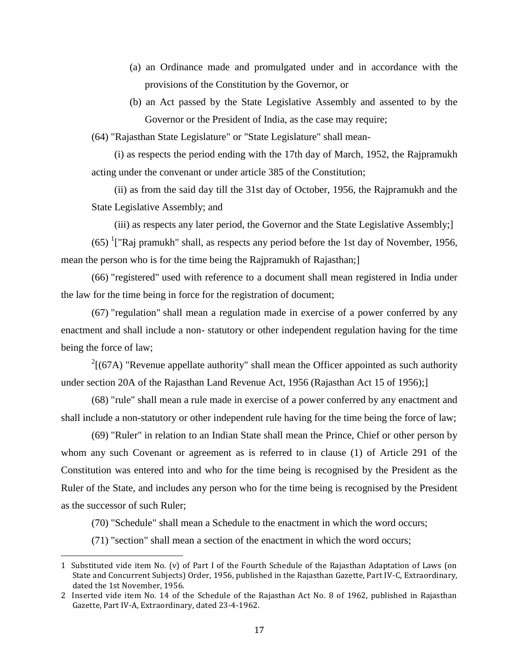- (a) an Ordinance made and promulgated under and in accordance with the provisions of the Constitution by the Governor, or
- (b) an Act passed by the State Legislative Assembly and assented to by the Governor or the President of India, as the case may require;

(64) "Rajasthan State Legislature" or "State Legislature" shall mean-

(i) as respects the period ending with the 17th day of March, 1952, the Rajpramukh acting under the convenant or under article 385 of the Constitution;

(ii) as from the said day till the 31st day of October, 1956, the Rajpramukh and the State Legislative Assembly; and

(iii) as respects any later period, the Governor and the State Legislative Assembly;]

 $(65)$  <sup>1</sup>["Raj pramukh" shall, as respects any period before the 1st day of November, 1956, mean the person who is for the time being the Rajpramukh of Rajasthan;]

(66) "registered" used with reference to a document shall mean registered in India under the law for the time being in force for the registration of document;

(67) "regulation" shall mean a regulation made in exercise of a power conferred by any enactment and shall include a non- statutory or other independent regulation having for the time being the force of law;

 $2[(67A)$  "Revenue appellate authority" shall mean the Officer appointed as such authority under section 20A of the Rajasthan Land Revenue Act, 1956 (Rajasthan Act 15 of 1956);]

(68) "rule" shall mean a rule made in exercise of a power conferred by any enactment and shall include a non-statutory or other independent rule having for the time being the force of law;

(69) "Ruler" in relation to an Indian State shall mean the Prince, Chief or other person by whom any such Covenant or agreement as is referred to in clause (1) of Article 291 of the Constitution was entered into and who for the time being is recognised by the President as the Ruler of the State, and includes any person who for the time being is recognised by the President as the successor of such Ruler;

(70) "Schedule" shall mean a Schedule to the enactment in which the word occurs;

(71) "section" shall mean a section of the enactment in which the word occurs;

 $\overline{a}$ 

<sup>1</sup> Substituted vide item No. (v) of Part I of the Fourth Schedule of the Rajasthan Adaptation of Laws (on State and Concurrent Subjects) Order, 1956, published in the Rajasthan Gazette, Part IV-C, Extraordinary, dated the 1st November, 1956.

<sup>2</sup> Inserted vide item No. 14 of the Schedule of the Rajasthan Act No. 8 of 1962, published in Rajasthan Gazette, Part IV-A, Extraordinary, dated 23-4-1962.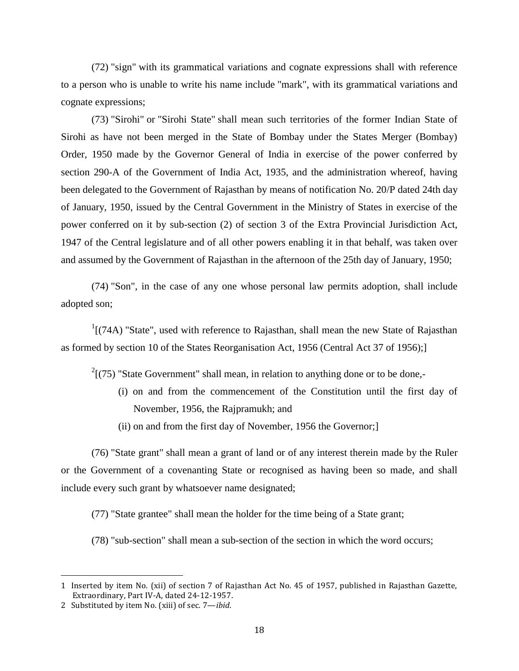(72) "sign" with its grammatical variations and cognate expressions shall with reference to a person who is unable to write his name include "mark", with its grammatical variations and cognate expressions;

(73) "Sirohi" or "Sirohi State" shall mean such territories of the former Indian State of Sirohi as have not been merged in the State of Bombay under the States Merger (Bombay) Order, 1950 made by the Governor General of India in exercise of the power conferred by section 290-A of the Government of India Act, 1935, and the administration whereof, having been delegated to the Government of Rajasthan by means of notification No. 20/P dated 24th day of January, 1950, issued by the Central Government in the Ministry of States in exercise of the power conferred on it by sub-section (2) of section 3 of the Extra Provincial Jurisdiction Act, 1947 of the Central legislature and of all other powers enabling it in that behalf, was taken over and assumed by the Government of Rajasthan in the afternoon of the 25th day of January, 1950;

(74) "Son", in the case of any one whose personal law permits adoption, shall include adopted son;

 $1$ [(74A) "State", used with reference to Rajasthan, shall mean the new State of Rajasthan as formed by section 10 of the States Reorganisation Act, 1956 (Central Act 37 of 1956);]

 $2(75)$  "State Government" shall mean, in relation to anything done or to be done,-

- (i) on and from the commencement of the Constitution until the first day of November, 1956, the Rajpramukh; and
- (ii) on and from the first day of November, 1956 the Governor;]

(76) "State grant" shall mean a grant of land or of any interest therein made by the Ruler or the Government of a covenanting State or recognised as having been so made, and shall include every such grant by whatsoever name designated;

(77) "State grantee" shall mean the holder for the time being of a State grant;

(78) "sub-section" shall mean a sub-section of the section in which the word occurs;

<sup>1</sup> Inserted by item No. (xii) of section 7 of Rajasthan Act No. 45 of 1957, published in Rajasthan Gazette, Extraordinary, Part IV-A, dated 24-12-1957.

<sup>2</sup> Substituted by item No. (xiii) of sec. 7—*ibid*.